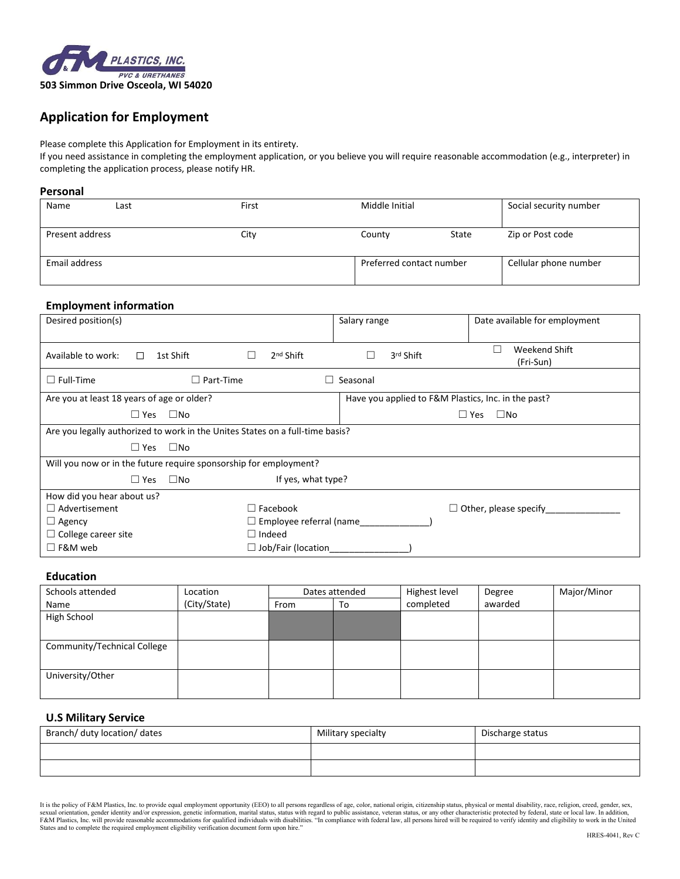

# **Application for Employment**

Please complete this Application for Employment in its entirety.

If you need assistance in completing the employment application, or you believe you will require reasonable accommodation (e.g., interpreter) in completing the application process, please notify HR.

#### **Personal**

| Name            | Last | First | Middle Initial           |       | Social security number |
|-----------------|------|-------|--------------------------|-------|------------------------|
| Present address |      | City  | County                   | State | Zip or Post code       |
| Email address   |      |       | Preferred contact number |       | Cellular phone number  |

### **Employment information**

| Desired position(s)                                                           |                                | Salary range                                        | Date available for employment |  |  |  |
|-------------------------------------------------------------------------------|--------------------------------|-----------------------------------------------------|-------------------------------|--|--|--|
| 1st Shift<br>Available to work:<br>$\Box$                                     | $2nd$ Shift                    | 3rd Shift                                           | Weekend Shift<br>(Fri-Sun)    |  |  |  |
| $\Box$ Part-Time<br>$\Box$ Full-Time                                          |                                | Seasonal                                            |                               |  |  |  |
| Are you at least 18 years of age or older?                                    |                                | Have you applied to F&M Plastics, Inc. in the past? |                               |  |  |  |
| $\square$ No<br>$\Box$ Yes<br>$\Box$ No<br>$\Box$ Yes                         |                                |                                                     |                               |  |  |  |
| Are you legally authorized to work in the Unites States on a full-time basis? |                                |                                                     |                               |  |  |  |
| $\Box$ Yes<br>$\square$ No                                                    |                                |                                                     |                               |  |  |  |
| Will you now or in the future require sponsorship for employment?             |                                |                                                     |                               |  |  |  |
| $\Box$ Yes<br>$\Box$ No                                                       | If yes, what type?             |                                                     |                               |  |  |  |
| How did you hear about us?                                                    |                                |                                                     |                               |  |  |  |
| $\Box$ Facebook<br>$\Box$ Advertisement<br>$\Box$ Other, please specify       |                                |                                                     |                               |  |  |  |
| $\Box$ Agency                                                                 | $\Box$ Employee referral (name |                                                     |                               |  |  |  |
| $\Box$ College career site                                                    | $\Box$ Indeed                  |                                                     |                               |  |  |  |
| $\Box$ F&M web                                                                | $\Box$ Job/Fair (location      |                                                     |                               |  |  |  |

## **Education**

| Schools attended            | Location     | Dates attended |    | Highest level | Degree  | Major/Minor |
|-----------------------------|--------------|----------------|----|---------------|---------|-------------|
| Name                        | (City/State) | From           | To | completed     | awarded |             |
| High School                 |              |                |    |               |         |             |
|                             |              |                |    |               |         |             |
| Community/Technical College |              |                |    |               |         |             |
|                             |              |                |    |               |         |             |
| University/Other            |              |                |    |               |         |             |
|                             |              |                |    |               |         |             |

### **U.S Military Service**

| Branch/ duty location/ dates | Military specialty | Discharge status |
|------------------------------|--------------------|------------------|
|                              |                    |                  |
|                              |                    |                  |

It is the policy of F&M Plastics, Inc. to provide equal employment opportunity (EEO) to all persons regardless of age, color, national origin, citizenship status, physical or mental disability, race, religion, creed, gende States and to complete the required employment eligibility verification document form upon hire."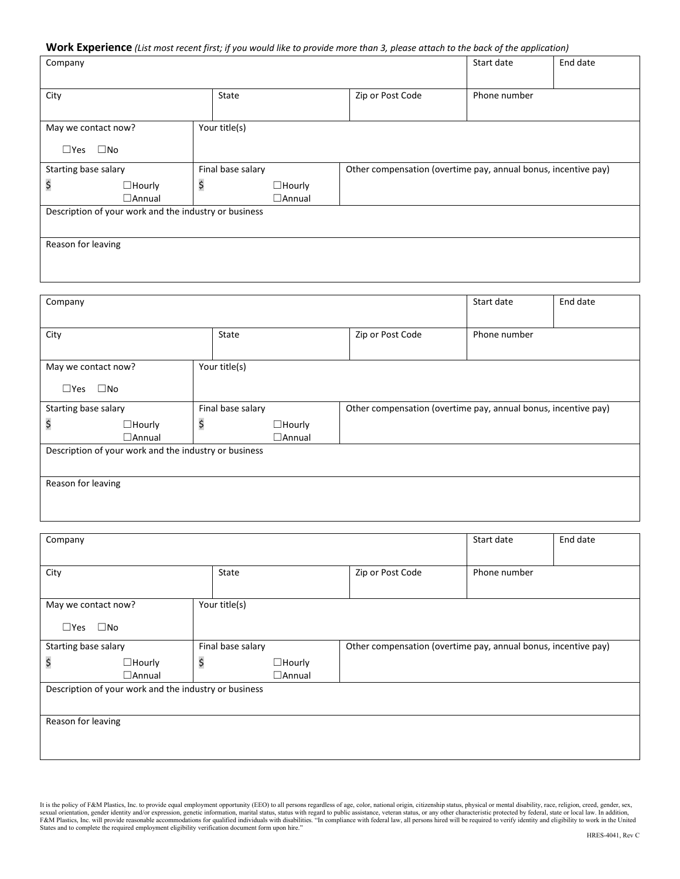### **Work Experience** *(List most recent first; if you would like to provide more than 3, please attach to the back of the application)*

| Company                                               |    |                                |                                                                | Start date   | End date |  |
|-------------------------------------------------------|----|--------------------------------|----------------------------------------------------------------|--------------|----------|--|
| City                                                  |    | State                          | Zip or Post Code                                               | Phone number |          |  |
| May we contact now?                                   |    | Your title(s)                  |                                                                |              |          |  |
| $\square$ No<br>$\square$ Yes                         |    |                                |                                                                |              |          |  |
| Starting base salary                                  |    | Final base salary              | Other compensation (overtime pay, annual bonus, incentive pay) |              |          |  |
| \$<br>$\Box$ Hourly<br>$\Box$ Annual                  | \$ | $\Box$ Hourly<br>$\Box$ Annual |                                                                |              |          |  |
| Description of your work and the industry or business |    |                                |                                                                |              |          |  |
|                                                       |    |                                |                                                                |              |          |  |
| Reason for leaving                                    |    |                                |                                                                |              |          |  |
|                                                       |    |                                |                                                                |              |          |  |

| Company             |                                                       |       |                   |                                                                | Start date   | End date |  |
|---------------------|-------------------------------------------------------|-------|-------------------|----------------------------------------------------------------|--------------|----------|--|
| City                |                                                       | State |                   | Zip or Post Code                                               | Phone number |          |  |
| May we contact now? |                                                       |       | Your title(s)     |                                                                |              |          |  |
| $\square$ Yes       | $\square$ No                                          |       |                   |                                                                |              |          |  |
|                     | Starting base salary                                  |       | Final base salary | Other compensation (overtime pay, annual bonus, incentive pay) |              |          |  |
| \$                  | \$<br>$\Box$ Hourly<br>$\Box$ Hourly                  |       |                   |                                                                |              |          |  |
|                     | $\Box$ Annual                                         |       | $\Box$ Annual     |                                                                |              |          |  |
|                     | Description of your work and the industry or business |       |                   |                                                                |              |          |  |
|                     |                                                       |       |                   |                                                                |              |          |  |
| Reason for leaving  |                                                       |       |                   |                                                                |              |          |  |
|                     |                                                       |       |                   |                                                                |              |          |  |
|                     |                                                       |       |                   |                                                                |              |          |  |

| Company                                               |                                |                                      |  |                  | Start date                                                     | End date |  |
|-------------------------------------------------------|--------------------------------|--------------------------------------|--|------------------|----------------------------------------------------------------|----------|--|
| City                                                  |                                | State                                |  | Zip or Post Code | Phone number                                                   |          |  |
| May we contact now?<br>$\square$ No<br>$\square$ Yes  |                                | Your title(s)                        |  |                  |                                                                |          |  |
| Starting base salary                                  |                                | Final base salary                    |  |                  | Other compensation (overtime pay, annual bonus, incentive pay) |          |  |
| \$                                                    | $\Box$ Hourly<br>$\Box$ Annual | \$<br>$\Box$ Hourly<br>$\Box$ Annual |  |                  |                                                                |          |  |
| Description of your work and the industry or business |                                |                                      |  |                  |                                                                |          |  |
| Reason for leaving                                    |                                |                                      |  |                  |                                                                |          |  |

It is the policy of F&M Plastics, Inc. to provide equal employment opportunity (EEO) to all persons regardless of age, color, national origin, citizenship status, physical or mental disability, race, religion, creed, gende